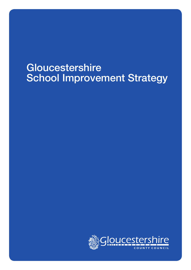# Gloucestershire School Improvement Strategy

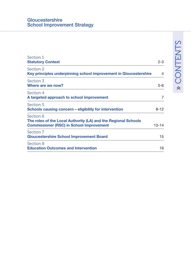#### **Gloucestershire** School Improvement Strategy

| Section 1<br><b>Statutory Context</b>                                                                                          | $2 - 3$        |
|--------------------------------------------------------------------------------------------------------------------------------|----------------|
| Section 2<br>Key principles underpinning school improvement in Gloucestershire                                                 | $\overline{4}$ |
| Section 3<br>Where are we now?                                                                                                 | $5 - 6$        |
| Section 4<br>A targeted approach to school improvement                                                                         | 7              |
| Section 5<br>Schools causing concern – eligibility for intervention                                                            | $8 - 12$       |
| Section 6<br>The roles of the Local Authority (LA) and the Regional Schools<br><b>Commissioner (RSC) in School Improvement</b> | $13 - 14$      |
| Section 7<br><b>Gloucestershire School Improvement Board</b>                                                                   | 15             |
| Section 8<br><b>Education Outcomes and Intervention</b>                                                                        | 16             |

# » CONTENTS » CONTENTS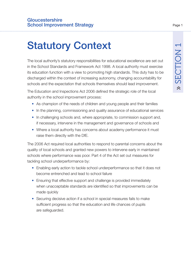# Statutory Context

The local authority's statutory responsibilities for educational excellence are set out in the School Standards and Framework Act 1998. A local authority must exercise its education function with a view to promoting high standards. This duty has to be discharged within the context of increasing autonomy, changing accountability for schools and the expectation that schools themselves should lead improvement.

The Education and Inspections Act 2006 defined the strategic role of the local authority in the school improvement process:

- As champion of the needs of children and young people and their families
- In the planning, commissioning and quality assurance of educational services
- In challenging schools and, where appropriate, to commission support and, if necessary, intervene in the management and governance of schools and
- Where a local authority has concerns about academy performance it must raise them directly with the DfE.

The 2006 Act required local authorities to respond to parental concerns about the quality of local schools and granted new powers to intervene early in maintained schools where performance was poor. Part 4 of the Act set out measures for tackling school underperformance by:

- Enabling early action to tackle school underperformance so that it does not become entrenched and lead to school failure
- Ensuring that effective support and challenge is provided immediately when unacceptable standards are identified so that improvements can be made quickly
- Securing decisive action if a school in special measures fails to make sufficient progress so that the education and life chances of pupils are safeguarded.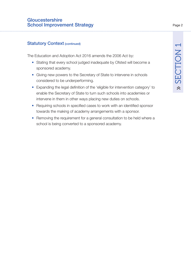#### **Statutory Context (continued)**

The Education and Adoption Act 2016 amends the 2006 Act by:

- Stating that every school judged inadequate by Ofsted will become a sponsored academy.
- Giving new powers to the Secretary of State to intervene in schools considered to be underperforming.
- Expanding the legal definition of the 'eligible for intervention category' to enable the Secretary of State to turn such schools into academies or intervene in them in other ways placing new duties on schools.
- Requiring schools in specified cases to work with an identified sponsor towards the making of academy arrangements with a sponsor.
- Removing the requirement for a general consultation to be held where a school is being converted to a sponsored academy.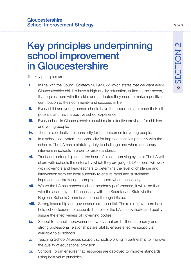# Key principles underpinning school improvement in Gloucestershire

The key principles are:

- **i.** In line with the Council Strategy 2019-2022 which states that we want every Gloucestershire child to have a high quality education, suited to their needs, that equips them with the skills and attributes they need to make a positive contribution to their community and succeed in life.
- **ii.** Every child and young person should have the opportunity to reach their full potential and have a positive school experience.
- **iii.** Every school in Gloucestershire should make effective provision for children and young people.
- **iv.** There is a collective responsibility for the outcomes for young people.
- **v.** In a school-led system, responsibility for improvement lies primarily with the schools. The LA has a statutory duty to challenge and where necessary intervene in schools in order to raise standards.
- **vi.** Trust and partnership are at the heart of a self-improving system. The LA will share with schools the criteria by which they are judged. LA officers will work with governors and headteachers to determine the level of challenge and intervention from the local authority to ensure rapid and sustainable improvement, brokering appropriate support where necessary.
- **vii.** Where the LA has concerns about academy performance, it will raise them with the academy and if necessary with the Secretary of State via the Regional Schools Commissioner and through Ofsted.
- **viii.** Strong leadership and governance are essential. The role of governors is to hold school leaders to account. The role of the LA is to evaluate and quality assure the effectiveness of governing bodies.
- **ix.** School-to-school improvement networks that are built on autonomy and strong professional relationships are vital to ensure effective support is available to all schools.
- **x.** Teaching School Alliances support schools working in partnership to improve the quality of educational provision.
- **xi.** Schools Forum ensures that resources are deployed to improve standards using best value principles.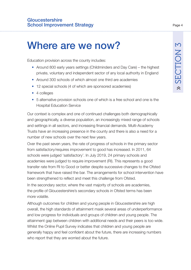# Where are we now?

Education provision across the county includes:

- Around 800 early years settings (Childminders and Day Care) the highest private, voluntary and independent sector of any local authority in England
- Around 300 schools of which almost one third are academies
- 12 special schools (4 of which are sponsored academies)
- 4 colleges
- 5 alternative provision schools one of which is a free school and one is the Hospital Education Service

Our context is complex and one of continued challenges both demographically and geographically, a diverse population, an increasingly mixed range of schools and settings in all sectors, and increasing financial demands. Multi-Academy Trusts have an increasing presence in the county and there is also a need for a number of new schools over the next few years.

Over the past seven years, the rate of progress of schools in the primary sector from satisfactory/requires improvement to good has increased. In 2011, 64 schools were judged 'satisfactory'. In July 2019, 24 primary schools and academies were judged to require improvement (RI). This represents a good transfer rate from RI to Good or better despite successive changes to the Ofsted framework that have raised the bar. The arrangements for school intervention have been strengthened to reflect and meet this challenge from Ofsted.

In the secondary sector, where the vast majority of schools are academies, the profile of Gloucestershire's secondary schools in Ofsted terms has been more volatile.

Although outcomes for children and young people in Gloucestershire are high overall, the high standards of attainment mask several areas of underperformance and low progress for individuals and groups of children and young people. The attainment gap between children with additional needs and their peers is too wide. Whilst the Online Pupil Survey indicates that children and young people are generally happy and feel confident about the future, there are increasing numbers who report that they are worried about the future.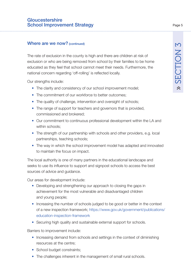#### **Gloucestershire** School Improvement Strategy

#### Where are we now? (continued)

The rate of exclusion in the county is high and there are children at risk of exclusion or who are being removed from school by their families to be home educated as they feel that school cannot meet their needs. Furthermore, the national concern regarding 'off-rolling' is reflected locally.

Our strengths include:

- The clarity and consistency of our school improvement model;
- The commitment of our workforce to better outcomes:
- The quality of challenge, intervention and oversight of schools;
- The range of support for teachers and governors that is provided, commissioned and brokered;
- Our commitment to continuous professional development within the LA and within schools;
- The strength of our partnership with schools and other providers, e.g. local partnerships, teaching schools;
- The way in which the school improvement model has adapted and innovated to maintain the focus on impact.

The local authority is one of many partners in the educational landscape and seeks to use its influence to support and signpost schools to access the best sources of advice and guidance.

Our areas for development include:

- Developing and strengthening our approach to closing the gaps in achievement for the most vulnerable and disadvantaged children and young people;
- Increasing the number of schools judged to be good or better in the context [of a new inspection framework; https://www.gov.uk/government/publications/](https://www.gov.uk/government/publications/education-inspection-framework) education-inspection-framework
- Securing high quality and sustainable external support for schools.

Barriers to improvement include:

- Increasing demand from schools and settings in the context of diminishing resources at the centre;
- School budget constraints;
- The challenges inherent in the management of small rural schools.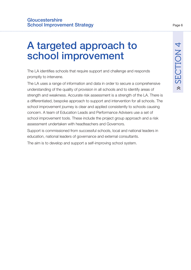# A targeted approach to school improvement

The LA identifies schools that require support and challenge and responds promptly to intervene.

The LA uses a range of information and data in order to secure a comprehensive understanding of the quality of provision in all schools and to identify areas of strength and weakness. Accurate risk assessment is a strength of the LA. There is a differentiated, bespoke approach to support and intervention for all schools. The school improvement journey is clear and applied consistently to schools causing concern. A team of Education Leads and Performance Advisers use a set of school improvement tools. These include the project group approach and a risk assessment undertaken with headteachers and Governors.

Support is commissioned from successful schools, local and national leaders in education, national leaders of governance and external consultants.

The aim is to develop and support a self-improving school system.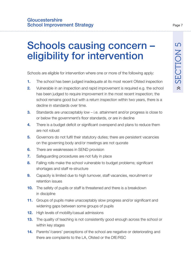# Schools causing concern – eligibility for intervention

Schools are eligible for intervention where one or more of the following apply:

- **1.** The school has been judged inadequate at its most recent Ofsted inspection
- **2.** Vulnerable in an inspection and rapid improvement is required e.g. the school has been judged to require improvement in the most recent inspection; the school remains good but with a return inspection within two years, there is a decline in standards over time.
- **3.** Standards are unacceptably low i.e. attainment and/or progress is close to or below the government's floor standards, or are in decline
- **4.** There is a budget deficit or significant overspend and plans to reduce them are not robust
- **5.** Governors do not fulfil their statutory duties; there are persistent vacancies on the governing body and/or meetings are not quorate
- **6.** There are weaknesses in SEND provision
- **7.** Safeguarding procedures are not fully in place
- **8.** Falling rolls make the school vulnerable to budget problems; significant shortages and staff re-structure
- **9.** Capacity is limited due to high turnover, staff vacancies, recruitment or retention issues
- **10.** The safety of pupils or staff is threatened and there is a breakdown in discipline
- **11.** Groups of pupils make unacceptably slow progress and/or significant and widening gaps between some groups of pupils
- **12.** High levels of mobility/casual admissions
- **13.** The quality of teaching is not consistently good enough across the school or within key stages
- **14.** Parents'/carers' perceptions of the school are negative or deteriorating and there are complaints to the LA, Ofsted or the DfE/RSC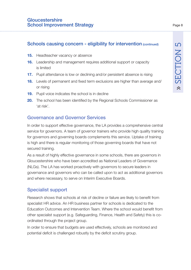- **15.** Headteacher vacancy or absence
- **16.** Leadership and management requires additional support or capacity is limited
- **17.** Pupil attendance is low or declining and/or persistent absence is rising
- **18.** Levels of permanent and fixed term exclusions are higher than average and/ or rising
- **19.** Pupil voice indicates the school is in decline
- **20.** The school has been identified by the Regional Schools Commissioner as 'at risk'.

#### Governance and Governor Services

In order to support effective governance, the LA provides a comprehensive central service for governors. A team of governor trainers who provide high quality training for governors and governing boards complements this service. Uptake of training is high and there is regular monitoring of those governing boards that have not secured training.

As a result of highly effective governance in some schools, there are governors in Gloucestershire who have been accredited as National Leaders of Governance (NLGs). The LA has worked proactively with governors to secure leaders in governance and governors who can be called upon to act as additional governors and where necessary, to serve on Interim Executive Boards.

#### Specialist support

Research shows that schools at risk of decline or failure are likely to benefit from specialist HR advice. An HR business partner for schools is dedicated to the Education Outcomes and Intervention Team. Where the school would benefit from other specialist support (e.g. Safeguarding, Finance, Health and Safety) this is coordinated through the project group.

In order to ensure that budgets are used effectively, schools are monitored and potential deficit is challenged robustly by the deficit scrutiny group.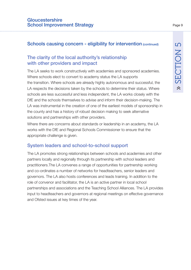#### The clarity of the local authority's relationship with other providers and impact

The LA seeks to work constructively with academies and sponsored academies. Where schools elect to convert to academy status the LA supports the transition. Where schools are already highly autonomous and successful, the LA respects the decisions taken by the schools to determine their status. Where schools are less successful and less independent, the LA works closely with the DfE and the schools themselves to advise and inform their decision-making. The LA was instrumental in the creation of one of the earliest models of sponsorship in the county and has a history of robust decision making to seek alternative solutions and partnerships with other providers.

Where there are concerns about standards or leadership in an academy, the LA works with the DfE and Regional Schools Commissioner to ensure that the appropriate challenge is given.

#### System leaders and school-to-school support

The LA promotes strong relationships between schools and academies and other partners locally and regionally through its partnership with school leaders and practitioners.The LA convenes a range of opportunities for partnership working and co-ordinates a number of networks for headteachers, senior leaders and governors. The LA also hosts conferences and leads training. In addition to the role of convenor and facilitator, the LA is an active partner in local school partnerships and associations and the Teaching School Alliances. The LA provides input to headteachers and governors at regional meetings on effective governance and Ofsted issues at key times of the year.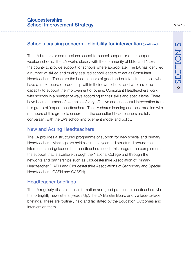The LA brokers or commissions school-to-school support or other support in weaker schools. The LA works closely with the community of LLEs and NLEs in the county to provide support for schools where appropriate. The LA has identified a number of skilled and quality assured school leaders to act as Consultant Headteachers. These are the headteachers of good and outstanding schools who have a track record of leadership within their own schools and who have the capacity to support the improvement of others. Consultant Headteachers work with schools in a number of ways according to their skills and specialisms. There have been a number of examples of very effective and successful intervention from this group of 'expert' headteachers. The LA shares learning and best practice with members of this group to ensure that the consultant headteachers are fully conversant with the LA's school improvement model and policy.

#### New and Acting Headteachers

The LA provides a structured programme of support for new special and primary Headteachers. Meetings are held six times a year and structured around the information and guidance that headteachers need. This programme complements the support that is available through the National College and through the networks and partnerships such as Gloucestershire Association of Primary Headteacher (GAPH and Gloucestershire Associations of Secondary and Special Headteachers (GASH and GASSH).

#### Headteacher briefings

The LA regularly disseminates information and good practice to headteachers via the fortnightly newsletters (Heads Up), the LA Bulletin Board and via face-to-face briefings. These are routinely held and facilitated by the Education Outcomes and Intervention team.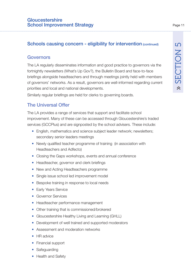#### Governors

The LA regularly disseminates information and good practice to governors via the fortnightly newsletters (What's Up Gov?), the Bulletin Board and face-to-face briefings alongside headteachers and through meetings jointly held with members of governors' networks. As a result, governors are well-informed regarding current priorities and local and national developments.

Similarly regular briefings are held for clerks to governing boards.

#### The Universal Offer

The LA provides a range of services that support and facilitate school improvement. Many of these can be accessed through Gloucestershire's traded services (GCCPlus) and are signposted by the school advisers. These include:

- English, mathematics and science subject leader network; newsletters; secondary senior leaders meetings
- Newly qualified teacher programme of training (in association with Headteachers and Adfecto)
- Closing the Gaps workshops, events and annual conference
- Headteacher, governor and clerk briefings
- New and Acting Headteachers programme
- Single issue school led improvement model
- Bespoke training in response to local needs
- Early Years Service
- Governor Services
- Headteacher performance management
- Other training that is commissioned/brokered
- Gloucestershire Healthy Living and Learning (GHLL)
- Development of well trained and supported moderators
- Assessment and moderation networks
- HR advice
- Financial support
- **Safeguarding**
- Health and Safety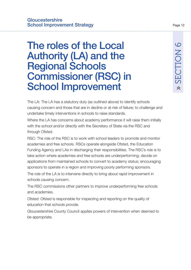# The roles of the Local Authority (LA) and the Regional Schools Commissioner (RSC) in School Improvement

The LA: The LA has a statutory duty (as outlined above) to identify schools causing concern and those that are in decline or at risk of failure; to challenge and undertake timely interventions in schools to raise standards.

Where the LA has concerns about academy performance it will raise them initially with the school and/or directly with the Secretary of State via the RSC and through Ofsted.

RSC: The role of the RSC is to work with school leaders to promote and monitor academies and free schools. RSCs operate alongside Ofsted, the Education Funding Agency and LAs in discharging their responsibilities. The RSC's role is to take action where academies and free schools are underperforming; decide on applications from maintained schools to convert to academy status; encouraging sponsors to operate in a region and improving poorly performing sponsors.

The role of the LA is to intervene directly to bring about rapid improvement in schools causing concern.

The RSC commissions other partners to improve underperforming free schools and academies.

Ofsted: Ofsted is responsible for inspecting and reporting on the quality of education that schools provide.

Gloucestershire County Council applies powers of intervention when deemed to be appropriate.

» SECTION 6

 $\lambda$ 

SECTION 6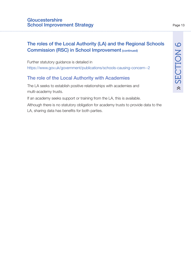#### The roles of the Local Authority (LA) and the Regional Schools Commission (RSC) in School Improvement (continued)

Further statutory guidance is detailed in <https://www.gov.uk/government/publications/schools-causing-concern--2>

#### The role of the Local Authority with Academies

The LA seeks to establish positive relationships with academies and multi-academy trusts.

If an academy seeks support or training from the LA, this is available.

Although there is no statutory obligation for academy trusts to provide data to the LA, sharing data has benefits for both parties.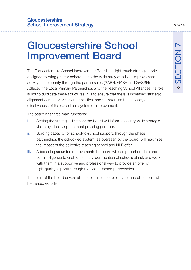# Gloucestershire School Improvement Board

The Gloucestershire School Improvement Board is a light-touch strategic body designed to bring greater coherence to the wide array of school improvement activity in the county through the partnerships (GAPH, GASH and GASSH), Adfecto, the Local Primary Partnerships and the Teaching School Alliances. Its role is not to duplicate these structures. It is to ensure that there is increased strategic alignment across priorities and activities, and to maximise the capacity and effectiveness of the school-led system of improvement.

The board has three main functions:

- **i.** Setting the strategic direction: the board will inform a county-wide strategic vision by identifying the most pressing priorities.
- **ii.** Building capacity for school-to-school support: through the phase partnerships the school-led system, as overseen by the board, will maximise the impact of the collective teaching school and NLE offer.
- **iii.** Addressing areas for improvement: the board will use published data and soft intelligence to enable the early identification of schools at risk and work with them in a supportive and professional way to provide an offer of high-quality support through the phase-based partnerships.

The remit of the board covers all schools, irrespective of type, and all schools will be treated equally.